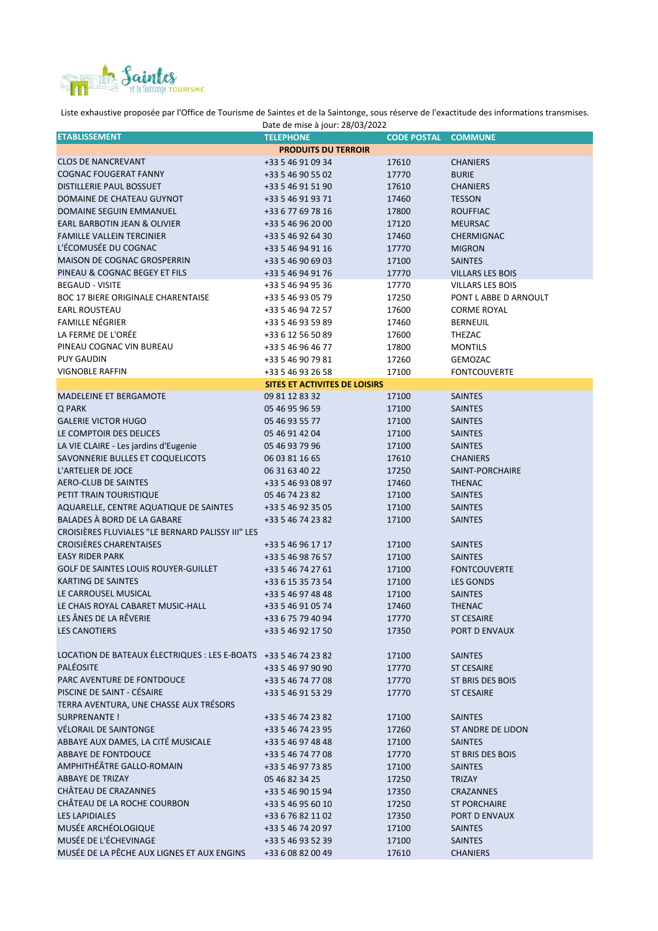

Liste exhaustive proposée par l'Office de Tourisme de Saintes et de la Saintonge, sous réserve de l'exactitude des informations transmises.

| Date de mise à jour: 28/03/2022                                 |                               |                    |                         |  |  |  |
|-----------------------------------------------------------------|-------------------------------|--------------------|-------------------------|--|--|--|
| <b>ETABLISSEMENT</b>                                            | <b>TELEPHONE</b>              | <b>CODE POSTAL</b> | <b>COMMUNE</b>          |  |  |  |
|                                                                 | <b>PRODUITS DU TERROIR</b>    |                    |                         |  |  |  |
| <b>CLOS DE NANCREVANT</b>                                       | +33 5 46 91 09 34             | 17610              | <b>CHANIERS</b>         |  |  |  |
| <b>COGNAC FOUGERAT FANNY</b>                                    | +33 5 46 90 55 02             | 17770              | <b>BURIE</b>            |  |  |  |
| DISTILLERIE PAUL BOSSUET                                        | +33 5 46 91 51 90             | 17610              | <b>CHANIERS</b>         |  |  |  |
| DOMAINE DE CHATEAU GUYNOT                                       | +33 5 46 91 93 71             | 17460              | <b>TESSON</b>           |  |  |  |
| DOMAINE SEGUIN EMMANUEL                                         | +33 6 77 69 78 16             | 17800              | <b>ROUFFIAC</b>         |  |  |  |
| EARL BARBOTIN JEAN & OLIVIER                                    | +33 5 46 96 20 00             | 17120              | <b>MEURSAC</b>          |  |  |  |
| <b>FAMILLE VALLEIN TERCINIER</b>                                | +33 5 46 92 64 30             | 17460              | CHERMIGNAC              |  |  |  |
| L'ÉCOMUSÉE DU COGNAC                                            | +33 5 46 94 91 16             | 17770              | <b>MIGRON</b>           |  |  |  |
| <b>MAISON DE COGNAC GROSPERRIN</b>                              | +33 5 46 90 69 03             | 17100              | <b>SAINTES</b>          |  |  |  |
| PINEAU & COGNAC BEGEY ET FILS                                   | +33 5 46 94 91 76             | 17770              | <b>VILLARS LES BOIS</b> |  |  |  |
| <b>BEGAUD - VISITE</b>                                          | +33 5 46 94 95 36             | 17770              | VILLARS LES BOIS        |  |  |  |
| <b>BOC 17 BIERE ORIGINALE CHARENTAISE</b>                       | +33 5 46 93 05 79             | 17250              | PONT L ABBE D ARNOULT   |  |  |  |
| <b>EARL ROUSTEAU</b>                                            | +33 5 46 94 72 57             | 17600              | <b>CORME ROYAL</b>      |  |  |  |
| <b>FAMILLE NÉGRIER</b>                                          | +33 5 46 93 59 89             | 17460              | <b>BERNEUIL</b>         |  |  |  |
| LA FERME DE L'ORÉE                                              | +33 6 12 56 50 89             | 17600              | THEZAC                  |  |  |  |
| PINEAU COGNAC VIN BUREAU                                        | +33 5 46 96 46 77             | 17800              | <b>MONTILS</b>          |  |  |  |
| <b>PUY GAUDIN</b>                                               | +33 5 46 90 79 81             | 17260              | GEMOZAC                 |  |  |  |
| <b>VIGNOBLE RAFFIN</b>                                          | +33 5 46 93 26 58             | 17100              | <b>FONTCOUVERTE</b>     |  |  |  |
|                                                                 | SITES ET ACTIVITES DE LOISIRS |                    |                         |  |  |  |
| <b>MADELEINE ET BERGAMOTE</b>                                   | 09 81 12 83 32                | 17100              | <b>SAINTES</b>          |  |  |  |
| Q PARK                                                          | 05 46 95 96 59                | 17100              | <b>SAINTES</b>          |  |  |  |
| <b>GALERIE VICTOR HUGO</b>                                      | 05 46 93 55 77                | 17100              | <b>SAINTES</b>          |  |  |  |
| LE COMPTOIR DES DELICES                                         | 05 46 91 42 04                | 17100              | <b>SAINTES</b>          |  |  |  |
| LA VIE CLAIRE - Les jardins d'Eugenie                           | 05 46 93 79 96                | 17100              | <b>SAINTES</b>          |  |  |  |
| SAVONNERIE BULLES ET COQUELICOTS                                | 06 03 81 16 65                | 17610              | <b>CHANIERS</b>         |  |  |  |
| L'ARTELIER DE JOCE                                              | 06 31 63 40 22                |                    | SAINT-PORCHAIRE         |  |  |  |
| AERO-CLUB DE SAINTES                                            |                               | 17250              |                         |  |  |  |
| PETIT TRAIN TOURISTIQUE                                         | +33 5 46 93 08 97             | 17460              | <b>THENAC</b>           |  |  |  |
|                                                                 | 05 46 74 23 82                | 17100              | <b>SAINTES</b>          |  |  |  |
| AQUARELLE, CENTRE AQUATIQUE DE SAINTES                          | +33 5 46 92 35 05             | 17100              | <b>SAINTES</b>          |  |  |  |
| BALADES À BORD DE LA GABARE                                     | +33 5 46 74 23 82             | 17100              | <b>SAINTES</b>          |  |  |  |
| CROISIÈRES FLUVIALES "LE BERNARD PALISSY III" LES               |                               |                    |                         |  |  |  |
| <b>CROISIÈRES CHARENTAISES</b>                                  | +33 5 46 96 17 17             | 17100              | <b>SAINTES</b>          |  |  |  |
| <b>EASY RIDER PARK</b>                                          | +33 5 46 98 76 57             | 17100              | <b>SAINTES</b>          |  |  |  |
| <b>GOLF DE SAINTES LOUIS ROUYER-GUILLET</b>                     | +33 5 46 74 27 61             | 17100              | <b>FONTCOUVERTE</b>     |  |  |  |
| <b>KARTING DE SAINTES</b>                                       | +33 6 15 35 73 54             | 17100              | <b>LES GONDS</b>        |  |  |  |
| LE CARROUSEL MUSICAL                                            | +33 5 46 97 48 48             | 17100              | <b>SAINTES</b>          |  |  |  |
| LE CHAIS ROYAL CABARET MUSIC-HALL                               | +33 5 46 91 05 74             | 17460              | <b>THENAC</b>           |  |  |  |
| LES ÂNES DE LA RÊVERIE                                          | +33 6 75 79 40 94             | 17770              | <b>ST CESAIRE</b>       |  |  |  |
| LES CANOTIERS                                                   | +33 5 46 92 17 50             | 17350              | PORT D ENVAUX           |  |  |  |
|                                                                 |                               |                    |                         |  |  |  |
| LOCATION DE BATEAUX ÉLECTRIQUES : LES E-BOATS +33 5 46 74 23 82 |                               | 17100              | <b>SAINTES</b>          |  |  |  |
| <b>PALÉOSITE</b>                                                | +33 5 46 97 90 90             | 17770              | <b>ST CESAIRE</b>       |  |  |  |
| PARC AVENTURE DE FONTDOUCE                                      | +33 5 46 74 77 08             | 17770              | ST BRIS DES BOIS        |  |  |  |
| PISCINE DE SAINT - CÉSAIRE                                      | +33 5 46 91 53 29             | 17770              | <b>ST CESAIRE</b>       |  |  |  |
| TERRA AVENTURA, UNE CHASSE AUX TRÉSORS                          |                               |                    |                         |  |  |  |
| SURPRENANTE !                                                   | +33 5 46 74 23 82             | 17100              | <b>SAINTES</b>          |  |  |  |
| VÉLORAIL DE SAINTONGE                                           | +33 5 46 74 23 95             | 17260              | ST ANDRE DE LIDON       |  |  |  |
| ABBAYE AUX DAMES, LA CITÉ MUSICALE                              | +33 5 46 97 48 48             | 17100              | <b>SAINTES</b>          |  |  |  |
| ABBAYE DE FONTDOUCE                                             | +33 5 46 74 77 08             | 17770              | ST BRIS DES BOIS        |  |  |  |
| AMPHITHÉÂTRE GALLO-ROMAIN                                       | +33 5 46 97 73 85             | 17100              | <b>SAINTES</b>          |  |  |  |
| ABBAYE DE TRIZAY                                                | 05 46 82 34 25                | 17250              | TRIZAY                  |  |  |  |
| CHÂTEAU DE CRAZANNES                                            | +33 5 46 90 15 94             | 17350              | <b>CRAZANNES</b>        |  |  |  |
| CHÂTEAU DE LA ROCHE COURBON                                     | +33 5 46 95 60 10             | 17250              | <b>ST PORCHAIRE</b>     |  |  |  |
| <b>LES LAPIDIALES</b>                                           | +33 6 76 82 11 02             | 17350              | PORT D ENVAUX           |  |  |  |
| MUSÉE ARCHÉOLOGIQUE                                             | +33 5 46 74 20 97             | 17100              | <b>SAINTES</b>          |  |  |  |
| MUSÉE DE L'ÉCHEVINAGE                                           | +33 5 46 93 52 39             | 17100              | <b>SAINTES</b>          |  |  |  |
| MUSÉE DE LA PÊCHE AUX LIGNES ET AUX ENGINS                      | +33 6 08 82 00 49             | 17610              | <b>CHANIERS</b>         |  |  |  |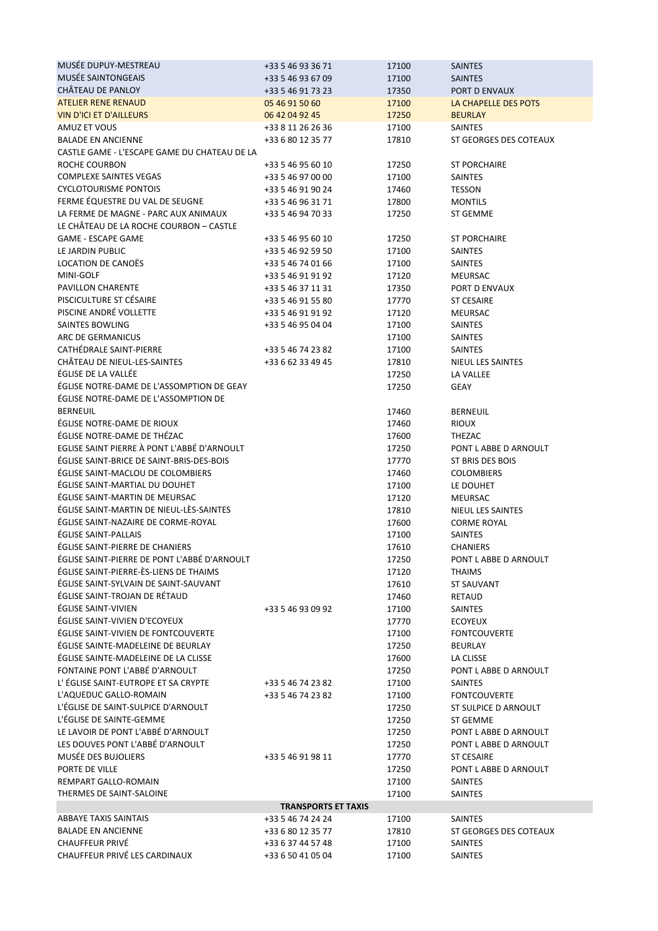| MUSÉE DUPUY-MESTREAU                                      | +33 5 46 93 36 71                      | 17100          | <b>SAINTES</b>                           |  |  |  |
|-----------------------------------------------------------|----------------------------------------|----------------|------------------------------------------|--|--|--|
| MUSÉE SAINTONGEAIS                                        | +33 5 46 93 67 09                      | 17100          | <b>SAINTES</b>                           |  |  |  |
| CHÂTEAU DE PANLOY                                         | +33 5 46 91 73 23                      | 17350          | PORT D ENVAUX                            |  |  |  |
| <b>ATELIER RENE RENAUD</b>                                | 05 46 91 50 60                         | 17100          | LA CHAPELLE DES POTS                     |  |  |  |
| <b>VIN D'ICI ET D'AILLEURS</b>                            | 06 42 04 92 45                         | 17250          | <b>BEURLAY</b>                           |  |  |  |
| AMUZ ET VOUS                                              | +33 8 11 26 26 36                      | 17100          | <b>SAINTES</b>                           |  |  |  |
| <b>BALADE EN ANCIENNE</b>                                 | +33 6 80 12 35 77                      | 17810          | ST GEORGES DES COTEAUX                   |  |  |  |
| CASTLE GAME - L'ESCAPE GAME DU CHATEAU DE LA              |                                        |                |                                          |  |  |  |
| ROCHE COURBON                                             | +33 5 46 95 60 10                      | 17250          | <b>ST PORCHAIRE</b>                      |  |  |  |
| <b>COMPLEXE SAINTES VEGAS</b>                             | +33 5 46 97 00 00                      | 17100          | <b>SAINTES</b>                           |  |  |  |
| <b>CYCLOTOURISME PONTOIS</b>                              | +33 5 46 91 90 24                      | 17460          | <b>TESSON</b>                            |  |  |  |
| FERME ÉQUESTRE DU VAL DE SEUGNE                           | +33 5 46 96 31 71                      | 17800          | <b>MONTILS</b>                           |  |  |  |
| LA FERME DE MAGNE - PARC AUX ANIMAUX                      | +33 5 46 94 70 33                      | 17250          | ST GEMME                                 |  |  |  |
| LE CHÂTEAU DE LA ROCHE COURBON - CASTLE                   |                                        |                |                                          |  |  |  |
| <b>GAME - ESCAPE GAME</b>                                 | +33 5 46 95 60 10                      | 17250          | ST PORCHAIRE                             |  |  |  |
| LE JARDIN PUBLIC                                          | +33 5 46 92 59 50                      | 17100          | <b>SAINTES</b>                           |  |  |  |
| LOCATION DE CANOËS                                        | +33 5 46 74 01 66                      | 17100          | <b>SAINTES</b>                           |  |  |  |
| MINI-GOLF<br><b>PAVILLON CHARENTE</b>                     | +33 5 46 91 91 92                      | 17120          | MEURSAC                                  |  |  |  |
| PISCICULTURE ST CÉSAIRE                                   | +33 5 46 37 11 31<br>+33 5 46 91 55 80 | 17350<br>17770 | PORT D ENVAUX<br><b>ST CESAIRE</b>       |  |  |  |
| PISCINE ANDRÉ VOLLETTE                                    | +33 5 46 91 91 92                      | 17120          | <b>MEURSAC</b>                           |  |  |  |
| <b>SAINTES BOWLING</b>                                    | +33 5 46 95 04 04                      | 17100          | <b>SAINTES</b>                           |  |  |  |
| ARC DE GERMANICUS                                         |                                        | 17100          | <b>SAINTES</b>                           |  |  |  |
| CATHÉDRALE SAINT-PIERRE                                   | +33 5 46 74 23 82                      | 17100          | <b>SAINTES</b>                           |  |  |  |
| CHÂTEAU DE NIEUL-LES-SAINTES                              | +33 6 62 33 49 45                      | 17810          | NIEUL LES SAINTES                        |  |  |  |
| ÉGLISE DE LA VALLÉE                                       |                                        | 17250          | LA VALLEE                                |  |  |  |
| ÉGLISE NOTRE-DAME DE L'ASSOMPTION DE GEAY                 |                                        | 17250          | GEAY                                     |  |  |  |
| ÉGLISE NOTRE-DAME DE L'ASSOMPTION DE                      |                                        |                |                                          |  |  |  |
| <b>BERNEUIL</b>                                           |                                        | 17460          | <b>BERNEUIL</b>                          |  |  |  |
| ÉGLISE NOTRE-DAME DE RIOUX                                |                                        | 17460          | <b>RIOUX</b>                             |  |  |  |
| ÉGLISE NOTRE-DAME DE THÉZAC                               |                                        | 17600          | THEZAC                                   |  |  |  |
| EGLISE SAINT PIERRE À PONT L'ABBÉ D'ARNOULT               |                                        | 17250          | PONT L ABBE D ARNOULT                    |  |  |  |
| ÉGLISE SAINT-BRICE DE SAINT-BRIS-DES-BOIS                 |                                        | 17770          | ST BRIS DES BOIS                         |  |  |  |
| ÉGLISE SAINT-MACLOU DE COLOMBIERS                         |                                        | 17460          | <b>COLOMBIERS</b>                        |  |  |  |
| ÉGLISE SAINT-MARTIAL DU DOUHET                            |                                        | 17100          | LE DOUHET                                |  |  |  |
| ÉGLISE SAINT-MARTIN DE MEURSAC                            |                                        | 17120          | <b>MEURSAC</b>                           |  |  |  |
| ÉGLISE SAINT-MARTIN DE NIEUL-LÈS-SAINTES                  |                                        | 17810          | <b>NIEUL LES SAINTES</b>                 |  |  |  |
| ÉGLISE SAINT-NAZAIRE DE CORME-ROYAL                       |                                        | 17600          | <b>CORME ROYAL</b>                       |  |  |  |
| ÉGLISE SAINT-PALLAIS                                      |                                        | 17100          | <b>SAINTES</b>                           |  |  |  |
| ÉGLISE SAINT-PIERRE DE CHANIERS                           |                                        | 17610          | <b>CHANIERS</b>                          |  |  |  |
| EGLISE SAINT-PIERRE DE PONT L'ABBE D'ARNOULT              |                                        | 17250          | PONT L ABBE D ARNOULT                    |  |  |  |
| ÉGLISE SAINT-PIERRE-ÈS-LIENS DE THAIMS                    |                                        | 17120          | <b>THAIMS</b>                            |  |  |  |
| ÉGLISE SAINT-SYLVAIN DE SAINT-SAUVANT                     |                                        | 17610          | <b>ST SAUVANT</b>                        |  |  |  |
| ÉGLISE SAINT-TROJAN DE RÉTAUD                             |                                        | 17460          | RETAUD                                   |  |  |  |
| ÉGLISE SAINT-VIVIEN                                       | +33 5 46 93 09 92                      | 17100          | SAINTES                                  |  |  |  |
| ÉGLISE SAINT-VIVIEN D'ECOYEUX                             |                                        | 17770          | <b>ECOYEUX</b>                           |  |  |  |
| ÉGLISE SAINT-VIVIEN DE FONTCOUVERTE                       |                                        | 17100          | <b>FONTCOUVERTE</b>                      |  |  |  |
| ÉGLISE SAINTE-MADELEINE DE BEURLAY                        |                                        | 17250          | <b>BEURLAY</b>                           |  |  |  |
| ÉGLISE SAINTE-MADELEINE DE LA CLISSE                      |                                        | 17600          | LA CLISSE                                |  |  |  |
| FONTAINE PONT L'ABBÉ D'ARNOULT                            |                                        | 17250          | PONT L ABBE D ARNOULT                    |  |  |  |
| L'ÉGLISE SAINT-EUTROPE ET SA CRYPTE                       | +33 5 46 74 23 82                      | 17100          | <b>SAINTES</b>                           |  |  |  |
| L'AQUEDUC GALLO-ROMAIN                                    | +33 5 46 74 23 82                      | 17100          | <b>FONTCOUVERTE</b>                      |  |  |  |
| L'ÉGLISE DE SAINT-SULPICE D'ARNOULT                       |                                        | 17250          | ST SULPICE D ARNOULT                     |  |  |  |
| L'ÉGLISE DE SAINTE-GEMME                                  |                                        | 17250          | ST GEMME                                 |  |  |  |
| LE LAVOIR DE PONT L'ABBÉ D'ARNOULT                        |                                        | 17250          | PONT L ABBE D ARNOULT                    |  |  |  |
| LES DOUVES PONT L'ABBÉ D'ARNOULT                          |                                        | 17250          | PONT L ABBE D ARNOULT                    |  |  |  |
| MUSÉE DES BUJOLIERS                                       | +33 5 46 91 98 11                      | 17770          | ST CESAIRE                               |  |  |  |
| PORTE DE VILLE                                            |                                        | 17250          | PONT L ABBE D ARNOULT                    |  |  |  |
| REMPART GALLO-ROMAIN                                      |                                        | 17100          | <b>SAINTES</b>                           |  |  |  |
| THERMES DE SAINT-SALOINE                                  |                                        | 17100          | <b>SAINTES</b>                           |  |  |  |
| <b>TRANSPORTS ET TAXIS</b>                                |                                        |                |                                          |  |  |  |
| <b>ABBAYE TAXIS SAINTAIS</b><br><b>BALADE EN ANCIENNE</b> | +33 5 46 74 24 24<br>+33 6 80 12 35 77 | 17100<br>17810 | <b>SAINTES</b><br>ST GEORGES DES COTEAUX |  |  |  |
| <b>CHAUFFEUR PRIVÉ</b>                                    | +33 6 37 44 57 48                      | 17100          | <b>SAINTES</b>                           |  |  |  |
| CHAUFFEUR PRIVÉ LES CARDINAUX                             | +33 6 50 41 05 04                      | 17100          | <b>SAINTES</b>                           |  |  |  |
|                                                           |                                        |                |                                          |  |  |  |